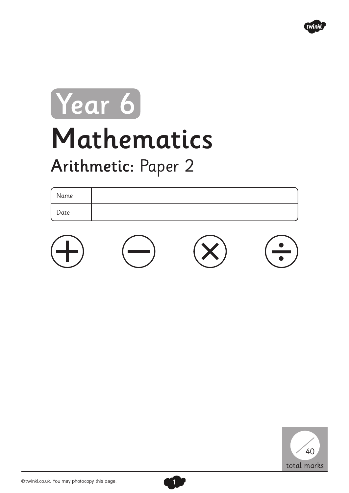

## Mathematics Arithmetic: Paper 2 Year 6

## Name Date





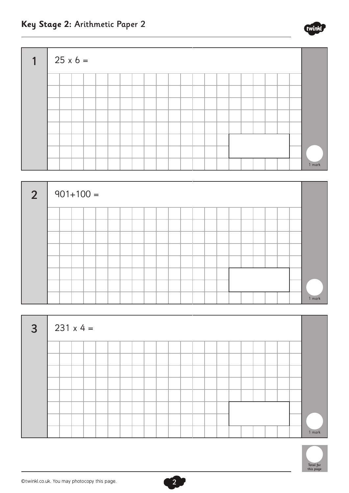





2



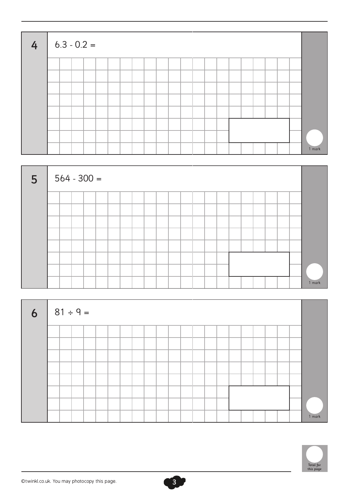| $\begin{array}{ c c } \hline \end{array}$ 6.3 - 0.2 = |  |  |  |  |  |  |  |  |  |  |        |
|-------------------------------------------------------|--|--|--|--|--|--|--|--|--|--|--------|
|                                                       |  |  |  |  |  |  |  |  |  |  |        |
|                                                       |  |  |  |  |  |  |  |  |  |  |        |
|                                                       |  |  |  |  |  |  |  |  |  |  |        |
|                                                       |  |  |  |  |  |  |  |  |  |  |        |
|                                                       |  |  |  |  |  |  |  |  |  |  |        |
|                                                       |  |  |  |  |  |  |  |  |  |  |        |
|                                                       |  |  |  |  |  |  |  |  |  |  |        |
|                                                       |  |  |  |  |  |  |  |  |  |  | 1 mark |





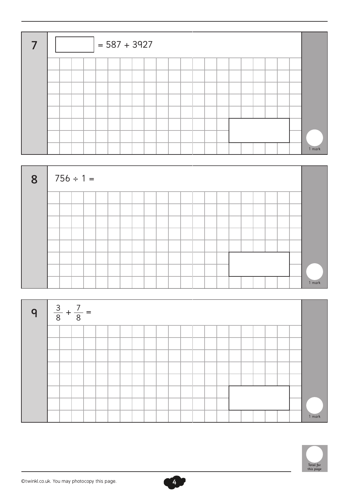|  |  | $= 587 + 3927$ |  |  |  |  |  |  |  |  |        |
|--|--|----------------|--|--|--|--|--|--|--|--|--------|
|  |  |                |  |  |  |  |  |  |  |  |        |
|  |  |                |  |  |  |  |  |  |  |  |        |
|  |  |                |  |  |  |  |  |  |  |  |        |
|  |  |                |  |  |  |  |  |  |  |  |        |
|  |  |                |  |  |  |  |  |  |  |  |        |
|  |  |                |  |  |  |  |  |  |  |  |        |
|  |  |                |  |  |  |  |  |  |  |  | 1 mark |







©twinkl.co.uk. You may photocopy this page.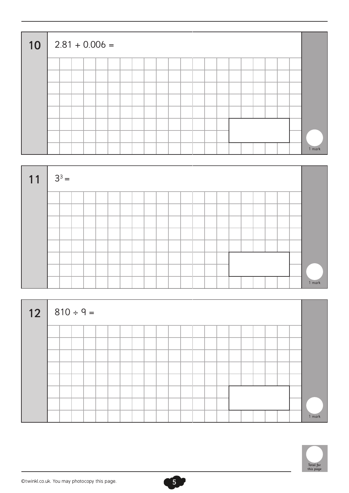| 10 |  | $2.81 + 0.006 =$ |  |  |  |  |  |  |  |  |        |
|----|--|------------------|--|--|--|--|--|--|--|--|--------|
|    |  |                  |  |  |  |  |  |  |  |  |        |
|    |  |                  |  |  |  |  |  |  |  |  |        |
|    |  |                  |  |  |  |  |  |  |  |  |        |
|    |  |                  |  |  |  |  |  |  |  |  |        |
|    |  |                  |  |  |  |  |  |  |  |  |        |
|    |  |                  |  |  |  |  |  |  |  |  |        |
|    |  |                  |  |  |  |  |  |  |  |  |        |
|    |  |                  |  |  |  |  |  |  |  |  | 1 mark |



| $12   810 \div 9 =$ |  |  |  |  |  |  |  |  |  |  |        |
|---------------------|--|--|--|--|--|--|--|--|--|--|--------|
|                     |  |  |  |  |  |  |  |  |  |  |        |
|                     |  |  |  |  |  |  |  |  |  |  |        |
|                     |  |  |  |  |  |  |  |  |  |  |        |
|                     |  |  |  |  |  |  |  |  |  |  |        |
|                     |  |  |  |  |  |  |  |  |  |  |        |
|                     |  |  |  |  |  |  |  |  |  |  |        |
|                     |  |  |  |  |  |  |  |  |  |  |        |
|                     |  |  |  |  |  |  |  |  |  |  | 1 mark |

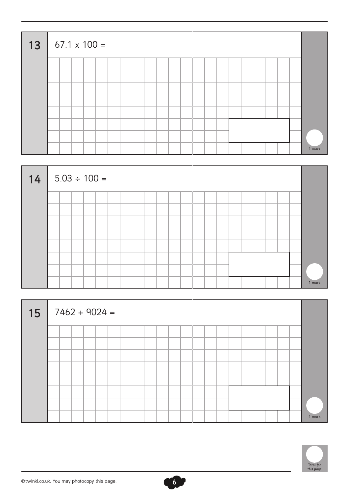| 13 |  |  | $67.1 \times 100 =$ |  |  |  |  |  |  |  |  |        |
|----|--|--|---------------------|--|--|--|--|--|--|--|--|--------|
|    |  |  |                     |  |  |  |  |  |  |  |  |        |
|    |  |  |                     |  |  |  |  |  |  |  |  |        |
|    |  |  |                     |  |  |  |  |  |  |  |  |        |
|    |  |  |                     |  |  |  |  |  |  |  |  |        |
|    |  |  |                     |  |  |  |  |  |  |  |  |        |
|    |  |  |                     |  |  |  |  |  |  |  |  |        |
|    |  |  |                     |  |  |  |  |  |  |  |  |        |
|    |  |  |                     |  |  |  |  |  |  |  |  | 1 mark |



| 15 |  |  | $7462 + 9024 =$ |  |  |  |  |  |  |  |  |        |
|----|--|--|-----------------|--|--|--|--|--|--|--|--|--------|
|    |  |  |                 |  |  |  |  |  |  |  |  |        |
|    |  |  |                 |  |  |  |  |  |  |  |  |        |
|    |  |  |                 |  |  |  |  |  |  |  |  |        |
|    |  |  |                 |  |  |  |  |  |  |  |  |        |
|    |  |  |                 |  |  |  |  |  |  |  |  |        |
|    |  |  |                 |  |  |  |  |  |  |  |  |        |
|    |  |  |                 |  |  |  |  |  |  |  |  |        |
|    |  |  |                 |  |  |  |  |  |  |  |  | 1 mark |

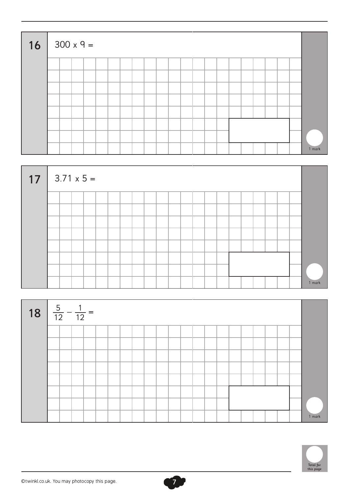| $16 \mid 300 \times 9 =$ |  |  |  |  |  |  |  |  |  |  |        |
|--------------------------|--|--|--|--|--|--|--|--|--|--|--------|
|                          |  |  |  |  |  |  |  |  |  |  |        |
|                          |  |  |  |  |  |  |  |  |  |  |        |
|                          |  |  |  |  |  |  |  |  |  |  |        |
|                          |  |  |  |  |  |  |  |  |  |  |        |
|                          |  |  |  |  |  |  |  |  |  |  |        |
|                          |  |  |  |  |  |  |  |  |  |  |        |
|                          |  |  |  |  |  |  |  |  |  |  |        |
|                          |  |  |  |  |  |  |  |  |  |  | 1 mark |







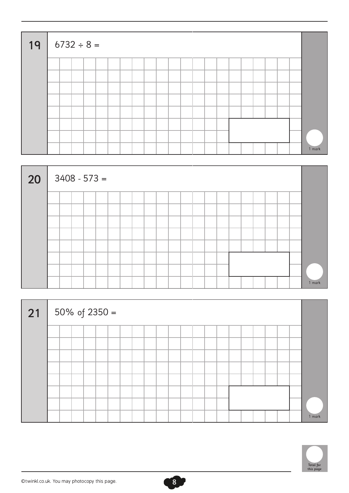| 19 |  | $6732 \div 8 =$ |  |  |  |  |  |  |  |  |        |
|----|--|-----------------|--|--|--|--|--|--|--|--|--------|
|    |  |                 |  |  |  |  |  |  |  |  |        |
|    |  |                 |  |  |  |  |  |  |  |  |        |
|    |  |                 |  |  |  |  |  |  |  |  |        |
|    |  |                 |  |  |  |  |  |  |  |  |        |
|    |  |                 |  |  |  |  |  |  |  |  |        |
|    |  |                 |  |  |  |  |  |  |  |  |        |
|    |  |                 |  |  |  |  |  |  |  |  |        |
|    |  |                 |  |  |  |  |  |  |  |  | 1 mark |



| 21 50% of 2350 = |  |  |  |  |  |  |  |  |  |  |        |
|------------------|--|--|--|--|--|--|--|--|--|--|--------|
|                  |  |  |  |  |  |  |  |  |  |  |        |
|                  |  |  |  |  |  |  |  |  |  |  |        |
|                  |  |  |  |  |  |  |  |  |  |  |        |
|                  |  |  |  |  |  |  |  |  |  |  |        |
|                  |  |  |  |  |  |  |  |  |  |  |        |
|                  |  |  |  |  |  |  |  |  |  |  |        |
|                  |  |  |  |  |  |  |  |  |  |  |        |
|                  |  |  |  |  |  |  |  |  |  |  | 1 mark |

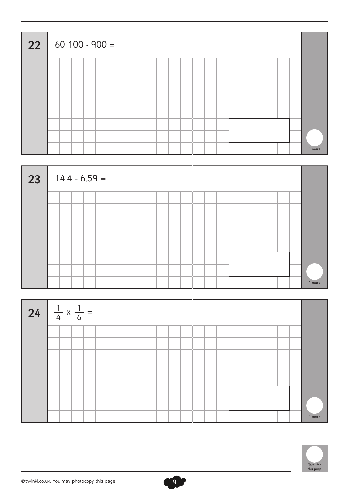| 22 |  | $60$ 100 - 900 = |  |  |  |  |  |  |  |  |  |        |
|----|--|------------------|--|--|--|--|--|--|--|--|--|--------|
|    |  |                  |  |  |  |  |  |  |  |  |  |        |
|    |  |                  |  |  |  |  |  |  |  |  |  |        |
|    |  |                  |  |  |  |  |  |  |  |  |  |        |
|    |  |                  |  |  |  |  |  |  |  |  |  |        |
|    |  |                  |  |  |  |  |  |  |  |  |  |        |
|    |  |                  |  |  |  |  |  |  |  |  |  |        |
|    |  |                  |  |  |  |  |  |  |  |  |  |        |
|    |  |                  |  |  |  |  |  |  |  |  |  | 1 mark |





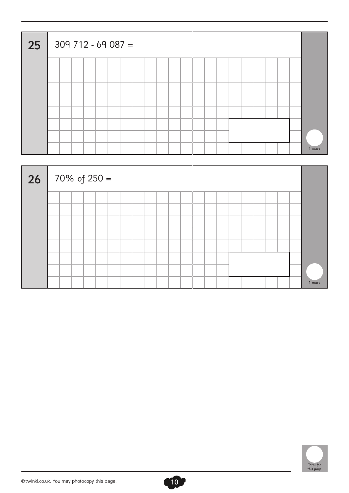| 25 |  | $309$ 712 - 69 087 = |  |  |  |  |  |  |  |  |  |        |
|----|--|----------------------|--|--|--|--|--|--|--|--|--|--------|
|    |  |                      |  |  |  |  |  |  |  |  |  |        |
|    |  |                      |  |  |  |  |  |  |  |  |  |        |
|    |  |                      |  |  |  |  |  |  |  |  |  |        |
|    |  |                      |  |  |  |  |  |  |  |  |  |        |
|    |  |                      |  |  |  |  |  |  |  |  |  |        |
|    |  |                      |  |  |  |  |  |  |  |  |  |        |
|    |  |                      |  |  |  |  |  |  |  |  |  |        |
|    |  |                      |  |  |  |  |  |  |  |  |  | 1 mark |





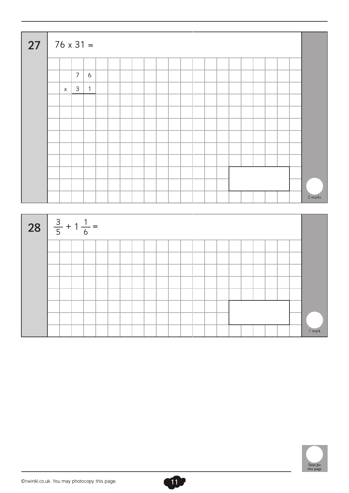| $27   76 \times 31 =$             |             |                                    |  |  |  |  |  |  |  |  |         |
|-----------------------------------|-------------|------------------------------------|--|--|--|--|--|--|--|--|---------|
|                                   |             |                                    |  |  |  |  |  |  |  |  |         |
|                                   |             | $\overline{7}$<br>$\boldsymbol{6}$ |  |  |  |  |  |  |  |  |         |
|                                   | $\mathsf X$ | $3 \mid$<br>$\overline{1}$         |  |  |  |  |  |  |  |  |         |
|                                   |             |                                    |  |  |  |  |  |  |  |  |         |
|                                   |             |                                    |  |  |  |  |  |  |  |  |         |
|                                   |             |                                    |  |  |  |  |  |  |  |  |         |
|                                   |             |                                    |  |  |  |  |  |  |  |  |         |
|                                   |             |                                    |  |  |  |  |  |  |  |  |         |
|                                   |             |                                    |  |  |  |  |  |  |  |  |         |
|                                   |             |                                    |  |  |  |  |  |  |  |  |         |
|                                   |             |                                    |  |  |  |  |  |  |  |  |         |
|                                   |             |                                    |  |  |  |  |  |  |  |  | 2 marks |
|                                   |             |                                    |  |  |  |  |  |  |  |  |         |
| 28 $\frac{3}{5} + 1\frac{1}{6} =$ |             |                                    |  |  |  |  |  |  |  |  |         |
|                                   |             |                                    |  |  |  |  |  |  |  |  |         |
|                                   |             |                                    |  |  |  |  |  |  |  |  |         |
|                                   |             |                                    |  |  |  |  |  |  |  |  |         |
|                                   |             |                                    |  |  |  |  |  |  |  |  |         |
|                                   |             |                                    |  |  |  |  |  |  |  |  |         |
|                                   |             |                                    |  |  |  |  |  |  |  |  |         |
|                                   |             |                                    |  |  |  |  |  |  |  |  |         |
|                                   |             |                                    |  |  |  |  |  |  |  |  | 1 mark  |

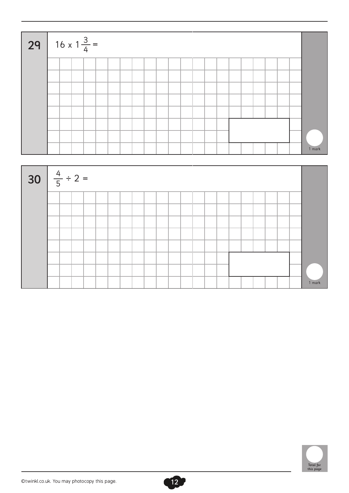| 29 $16 \times 1 \frac{3}{4}$ |  |  |  |  |  |  |  |  |  |  |        |
|------------------------------|--|--|--|--|--|--|--|--|--|--|--------|
|                              |  |  |  |  |  |  |  |  |  |  |        |
|                              |  |  |  |  |  |  |  |  |  |  |        |
|                              |  |  |  |  |  |  |  |  |  |  |        |
|                              |  |  |  |  |  |  |  |  |  |  |        |
|                              |  |  |  |  |  |  |  |  |  |  |        |
|                              |  |  |  |  |  |  |  |  |  |  |        |
|                              |  |  |  |  |  |  |  |  |  |  |        |
|                              |  |  |  |  |  |  |  |  |  |  | 1 mark |





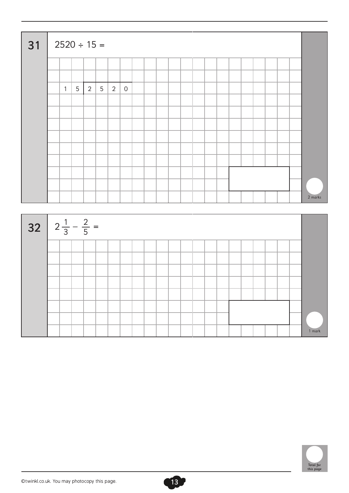| 31                                | $2520 \div 15 =$ |              |   |                |                 |   |                |  |  |  |  |  |  |  |  |  |         |
|-----------------------------------|------------------|--------------|---|----------------|-----------------|---|----------------|--|--|--|--|--|--|--|--|--|---------|
|                                   |                  |              |   |                |                 |   |                |  |  |  |  |  |  |  |  |  |         |
|                                   |                  | $\mathbf{1}$ | 5 | $\overline{2}$ | $5\overline{)}$ | 2 | $\overline{0}$ |  |  |  |  |  |  |  |  |  |         |
|                                   |                  |              |   |                |                 |   |                |  |  |  |  |  |  |  |  |  |         |
|                                   |                  |              |   |                |                 |   |                |  |  |  |  |  |  |  |  |  |         |
|                                   |                  |              |   |                |                 |   |                |  |  |  |  |  |  |  |  |  |         |
|                                   |                  |              |   |                |                 |   |                |  |  |  |  |  |  |  |  |  |         |
|                                   |                  |              |   |                |                 |   |                |  |  |  |  |  |  |  |  |  |         |
|                                   |                  |              |   |                |                 |   |                |  |  |  |  |  |  |  |  |  | 2 marks |
|                                   |                  |              |   |                |                 |   |                |  |  |  |  |  |  |  |  |  |         |
| 32 $2\frac{1}{3} - \frac{2}{5} =$ |                  |              |   |                |                 |   |                |  |  |  |  |  |  |  |  |  |         |
|                                   |                  |              |   |                |                 |   |                |  |  |  |  |  |  |  |  |  |         |

|  | <u>ل</u> |  |  |  |  |  |  |  |  |        |
|--|----------|--|--|--|--|--|--|--|--|--------|
|  |          |  |  |  |  |  |  |  |  |        |
|  |          |  |  |  |  |  |  |  |  |        |
|  |          |  |  |  |  |  |  |  |  |        |
|  |          |  |  |  |  |  |  |  |  |        |
|  |          |  |  |  |  |  |  |  |  |        |
|  |          |  |  |  |  |  |  |  |  |        |
|  |          |  |  |  |  |  |  |  |  |        |
|  |          |  |  |  |  |  |  |  |  | 1 mark |

13

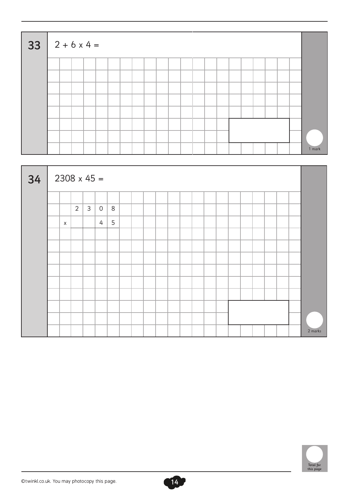| 33 | $2 + 6 \times 4 =$ |  |  |  |  |  |  |  |  |  |  |        |
|----|--------------------|--|--|--|--|--|--|--|--|--|--|--------|
|    |                    |  |  |  |  |  |  |  |  |  |  |        |
|    |                    |  |  |  |  |  |  |  |  |  |  |        |
|    |                    |  |  |  |  |  |  |  |  |  |  |        |
|    |                    |  |  |  |  |  |  |  |  |  |  |        |
|    |                    |  |  |  |  |  |  |  |  |  |  |        |
|    |                    |  |  |  |  |  |  |  |  |  |  |        |
|    |                    |  |  |  |  |  |  |  |  |  |  |        |
|    |                    |  |  |  |  |  |  |  |  |  |  | 1 mark |





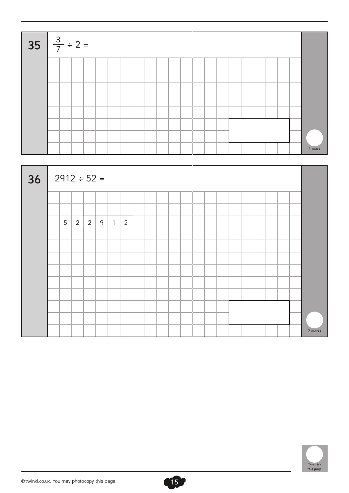| 35 $\frac{3}{7} \div 2 =$ |  |  |  |  |  |  |  |  |  |  |        |
|---------------------------|--|--|--|--|--|--|--|--|--|--|--------|
|                           |  |  |  |  |  |  |  |  |  |  |        |
|                           |  |  |  |  |  |  |  |  |  |  |        |
|                           |  |  |  |  |  |  |  |  |  |  |        |
|                           |  |  |  |  |  |  |  |  |  |  |        |
|                           |  |  |  |  |  |  |  |  |  |  |        |
|                           |  |  |  |  |  |  |  |  |  |  |        |
|                           |  |  |  |  |  |  |  |  |  |  |        |
|                           |  |  |  |  |  |  |  |  |  |  | 1 mark |